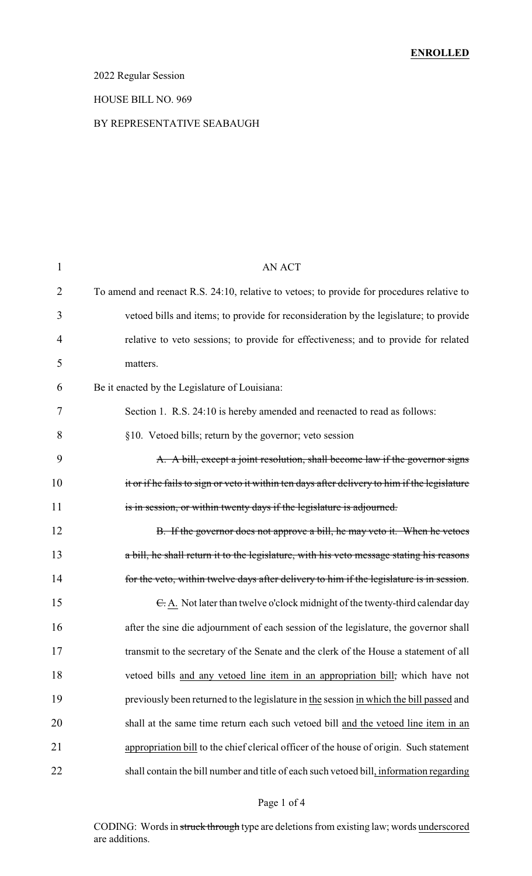## 2022 Regular Session

#### HOUSE BILL NO. 969

### BY REPRESENTATIVE SEABAUGH

| $\mathbf{1}$   | <b>AN ACT</b>                                                                                 |
|----------------|-----------------------------------------------------------------------------------------------|
| $\overline{2}$ | To amend and reenact R.S. 24:10, relative to vetoes; to provide for procedures relative to    |
| 3              | vetoed bills and items; to provide for reconsideration by the legislature; to provide         |
| 4              | relative to veto sessions; to provide for effectiveness; and to provide for related           |
| 5              | matters.                                                                                      |
| 6              | Be it enacted by the Legislature of Louisiana:                                                |
| 7              | Section 1. R.S. 24:10 is hereby amended and reenacted to read as follows:                     |
| 8              | §10. Vetoed bills; return by the governor; veto session                                       |
| 9              | A. A bill, except a joint resolution, shall become law if the governor signs                  |
| 10             | it or if he fails to sign or veto it within ten days after delivery to him if the legislature |
| 11             | is in session, or within twenty days if the legislature is adjourned.                         |
| 12             | B. If the governor does not approve a bill, he may veto it. When he vetoes                    |
| 13             | a bill, he shall return it to the legislature, with his veto message stating his reasons      |
| 14             | for the veto, within twelve days after delivery to him if the legislature is in session.      |
| 15             | $\epsilon$ . A. Not later than twelve o'clock midnight of the twenty-third calendar day       |
| 16             | after the sine die adjournment of each session of the legislature, the governor shall         |
| 17             | transmit to the secretary of the Senate and the clerk of the House a statement of all         |
| 18             | vetoed bills and any vetoed line item in an appropriation bill, which have not                |
| 19             | previously been returned to the legislature in the session in which the bill passed and       |
| 20             | shall at the same time return each such vetoed bill and the vetoed line item in an            |
| 21             | appropriation bill to the chief clerical officer of the house of origin. Such statement       |
| 22             | shall contain the bill number and title of each such vetoed bill, information regarding       |
|                |                                                                                               |

## Page 1 of 4

CODING: Words in struck through type are deletions from existing law; words underscored are additions.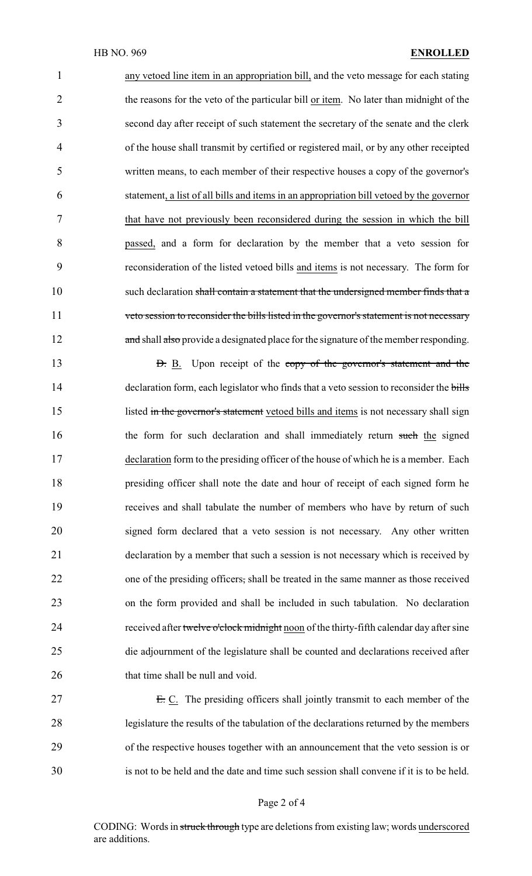any vetoed line item in an appropriation bill, and the veto message for each stating 2 the reasons for the veto of the particular bill or item. No later than midnight of the second day after receipt of such statement the secretary of the senate and the clerk of the house shall transmit by certified or registered mail, or by any other receipted written means, to each member of their respective houses a copy of the governor's statement, a list of all bills and items in an appropriation bill vetoed by the governor that have not previously been reconsidered during the session in which the bill passed, and a form for declaration by the member that a veto session for reconsideration of the listed vetoed bills and items is not necessary. The form for 10 such declaration shall contain a statement that the undersigned member finds that a veto session to reconsider the bills listed in the governor's statement is not necessary 12 and shall also provide a designated place for the signature of the member responding.

13 **D.** B. Upon receipt of the copy of the governor's statement and the 14 declaration form, each legislator who finds that a veto session to reconsider the bills 15 listed in the governor's statement vetoed bills and items is not necessary shall sign 16 the form for such declaration and shall immediately return such the signed 17 declaration form to the presiding officer of the house of which he is a member. Each 18 presiding officer shall note the date and hour of receipt of each signed form he 19 receives and shall tabulate the number of members who have by return of such 20 signed form declared that a veto session is not necessary. Any other written 21 declaration by a member that such a session is not necessary which is received by 22 one of the presiding officers, shall be treated in the same manner as those received 23 on the form provided and shall be included in such tabulation. No declaration 24 received after twelve o'clock midnight noon of the thirty-fifth calendar day after sine 25 die adjournment of the legislature shall be counted and declarations received after 26 that time shall be null and void.

27 E.C. The presiding officers shall jointly transmit to each member of the legislature the results of the tabulation of the declarations returned by the members of the respective houses together with an announcement that the veto session is or is not to be held and the date and time such session shall convene if it is to be held.

#### Page 2 of 4

CODING: Words in struck through type are deletions from existing law; words underscored are additions.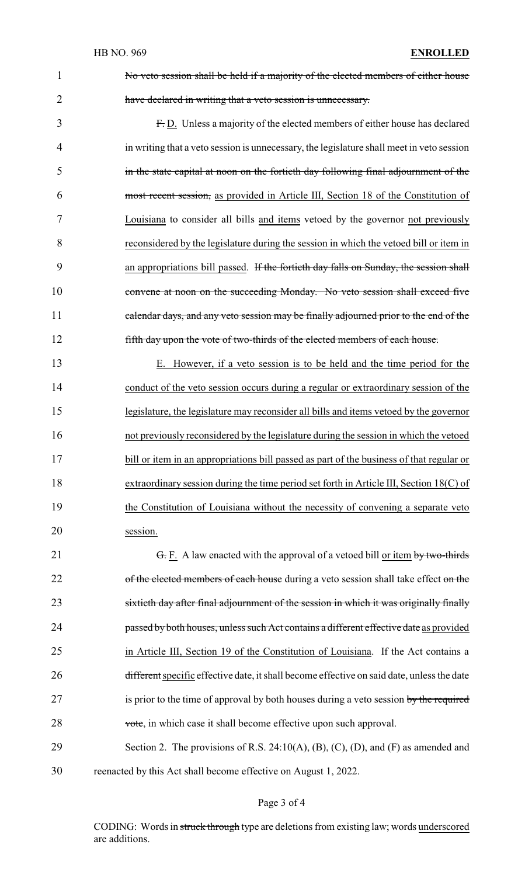1 No veto session shall be held if a majority of the elected members of either house 2 have declared in writing that a veto session is unnecessary.

 F. D. Unless a majority of the elected members of either house has declared in writing that a veto session is unnecessary, the legislature shall meet in veto session in the state capital at noon on the fortieth day following final adjournment of the most recent session, as provided in Article III, Section 18 of the Constitution of Louisiana to consider all bills and items vetoed by the governor not previously reconsidered by the legislature during the session in which the vetoed bill or item in 9 an appropriations bill passed. If the fortieth day falls on Sunday, the session shall convene at noon on the succeeding Monday. No veto session shall exceed five 11 calendar days, and any veto session may be finally adjourned prior to the end of the fifth day upon the vote of two-thirds of the elected members of each house.

 E. However, if a veto session is to be held and the time period for the conduct of the veto session occurs during a regular or extraordinary session of the legislature, the legislature may reconsider all bills and items vetoed by the governor not previously reconsidered by the legislature during the session in which the vetoed 17 bill or item in an appropriations bill passed as part of the business of that regular or 18 extraordinary session during the time period set forth in Article III, Section 18(C) of the Constitution of Louisiana without the necessity of convening a separate veto 20 session.

21 <del>G.</del> F. A law enacted with the approval of a vetoed bill <u>or item by two-thirds</u> 22 of the elected members of each house during a veto session shall take effect on the 23 sixtieth day after final adjournment of the session in which it was originally finally 24 passed by both houses, unless such Act contains a different effective date as provided 25 in Article III, Section 19 of the Constitution of Louisiana. If the Act contains a 26 different specific effective date, it shall become effective on said date, unless the date 27 is prior to the time of approval by both houses during a veto session by the required 28 vote, in which case it shall become effective upon such approval.

29 Section 2. The provisions of R.S. 24:10(A), (B), (C), (D), and (F) as amended and 30 reenacted by this Act shall become effective on August 1, 2022.

Page 3 of 4

CODING: Words in struck through type are deletions from existing law; words underscored are additions.